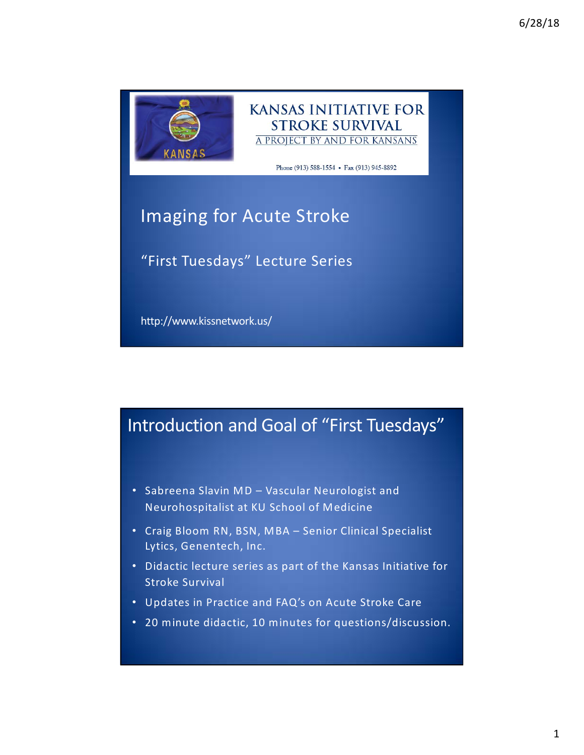



Phone (913) 588-1554 • Fax (913) 945-8892

## Imaging for Acute Stroke

"First Tuesdays" Lecture Series

http://www.kissnetwork.us/

#### Introduction and Goal of "First Tuesdays"

- Sabreena Slavin MD Vascular Neurologist and Neurohospitalist at KU School of Medicine
- Craig Bloom RN, BSN, MBA Senior Clinical Specialist Lytics, Genentech, Inc.
- Didactic lecture series as part of the Kansas Initiative for Stroke Survival
- Updates in Practice and FAQ's on Acute Stroke Care
- 20 minute didactic, 10 minutes for questions/discussion.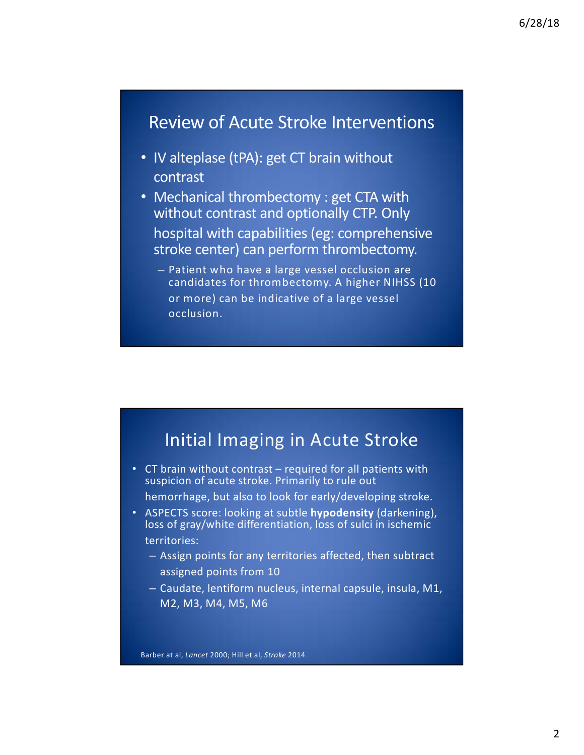#### Review of Acute Stroke Interventions

- IV alteplase (tPA): get CT brain without contrast
- Mechanical thrombectomy : get CTA with without contrast and optionally CTP. Only hospital with capabilities (eg: comprehensive stroke center) can perform thrombectomy.
	- Patient who have a large vessel occlusion are candidates for thrombectomy. A higher NIHSS (10 or more) can be indicative of a large vessel occlusion.

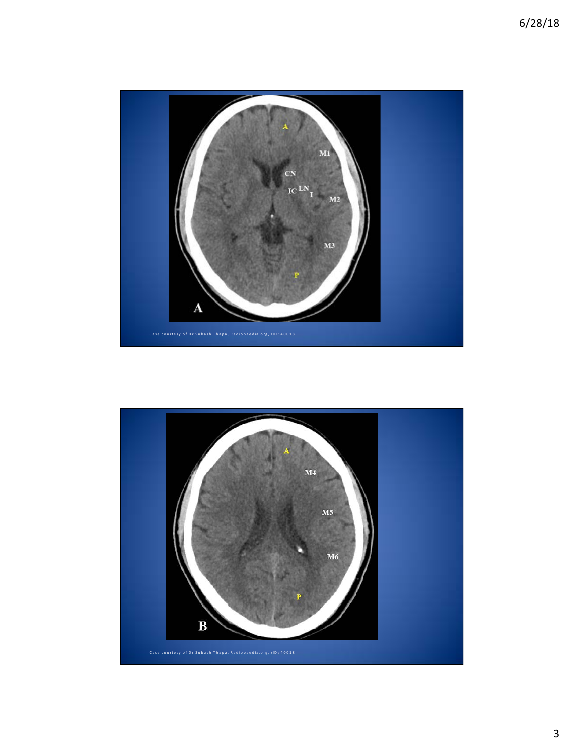

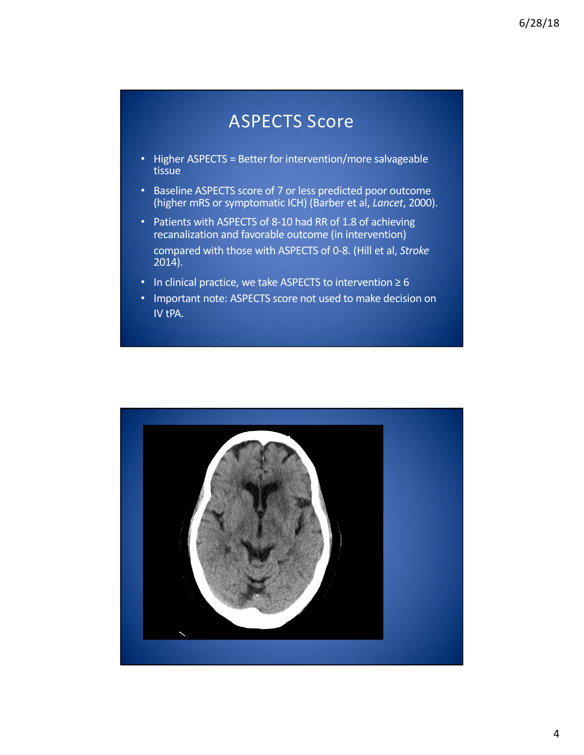#### ASPECTS Score

- Higher ASPECTS = Better for intervention/more salvageable tissue
- Baseline ASPECTS score of 7 or less predicted poor outcome (higher mRS or symptomatic ICH) (Barber et al, *Lancet*, 2000).
- Patients with ASPECTS of 8-10 had RR of 1.8 of achieving recanalization and favorable outcome (in intervention)
	- compared with those with ASPECTS of 0-8. (Hill et al, *Stroke* 2014).
- In clinical practice, we take ASPECTS to intervention ≥ 6
- Important note: ASPECTS score not used to make decision on IV tPA.

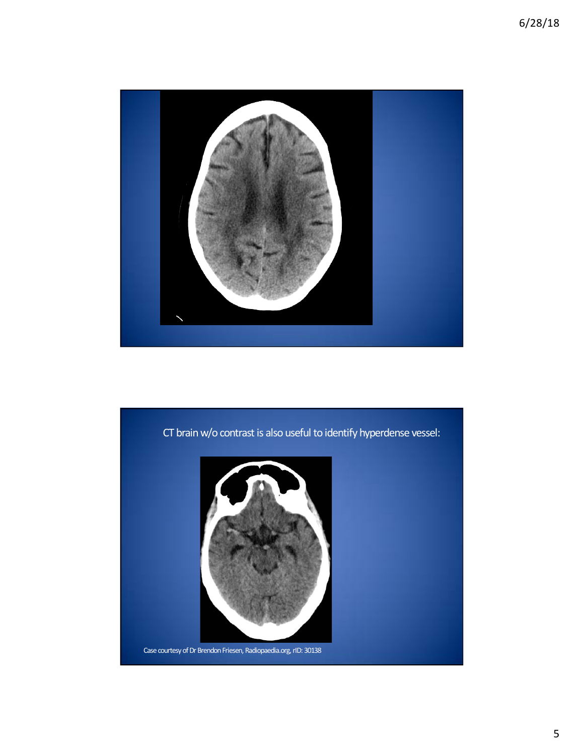

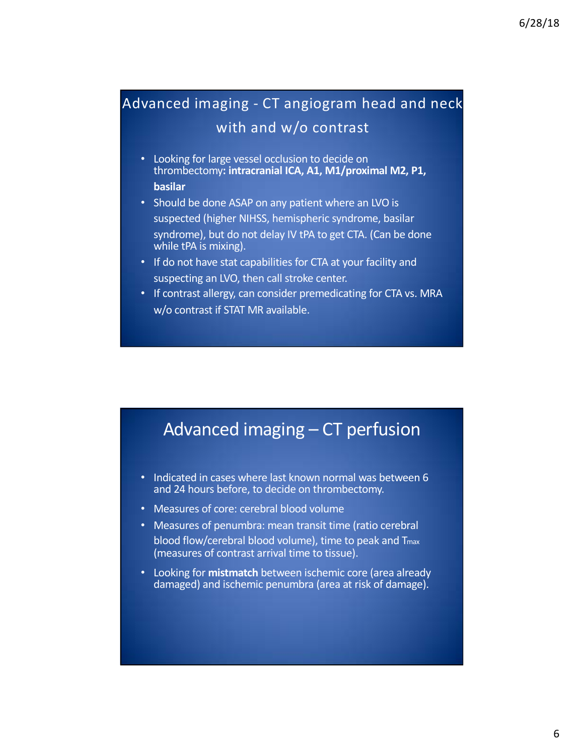#### Advanced imaging - CT angiogram head and neck with and w/o contrast

- Looking for large vessel occlusion to decide on thrombectomy**: intracranial ICA, A1, M1/proximal M2, P1, basilar**
- Should be done ASAP on any patient where an LVO is
- suspected (higher NIHSS, hemispheric syndrome, basilar syndrome), but do not delay IV tPA to get CTA. (Can be done while tPA is mixing).
- If do not have stat capabilities for CTA at your facility and suspecting an LVO, then call stroke center.
- If contrast allergy, can consider premedicating for CTA vs. MRA w/o contrast if STAT MR available.

### Advanced imaging – CT perfusion

- Indicated in cases where last known normal was between 6 and 24 hours before, to decide on thrombectomy.
- Measures of core: cerebral blood volume
- Measures of penumbra: mean transit time (ratio cerebral blood flow/cerebral blood volume), time to peak and Tmax (measures of contrast arrival time to tissue).
- Looking for **mistmatch** between ischemic core (area already damaged) and ischemic penumbra (area at risk of damage).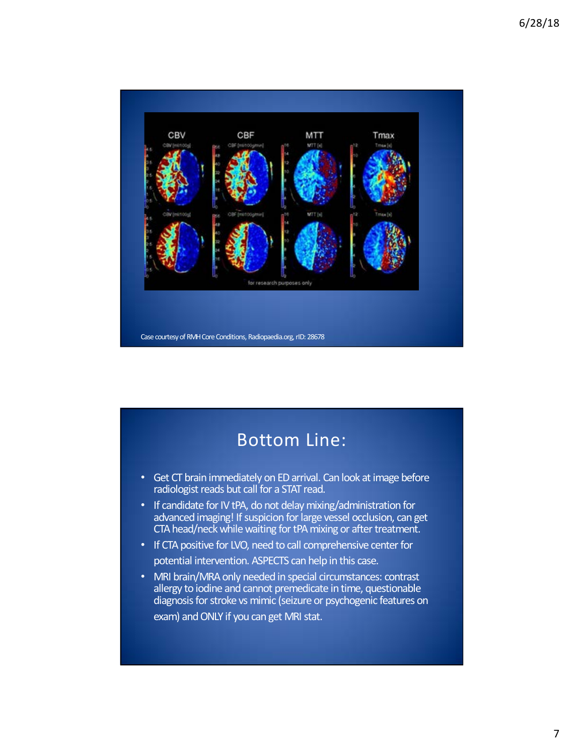